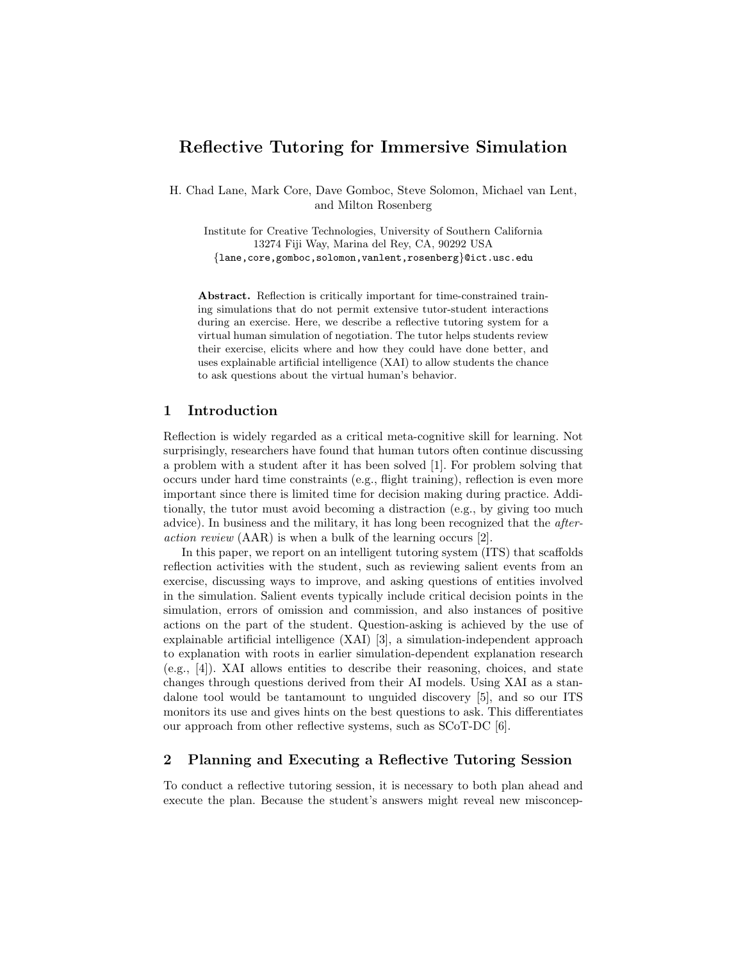# Reflective Tutoring for Immersive Simulation

H. Chad Lane, Mark Core, Dave Gomboc, Steve Solomon, Michael van Lent, and Milton Rosenberg

Institute for Creative Technologies, University of Southern California 13274 Fiji Way, Marina del Rey, CA, 90292 USA {lane,core,gomboc,solomon,vanlent,rosenberg}@ict.usc.edu

Abstract. Reflection is critically important for time-constrained training simulations that do not permit extensive tutor-student interactions during an exercise. Here, we describe a reflective tutoring system for a virtual human simulation of negotiation. The tutor helps students review their exercise, elicits where and how they could have done better, and uses explainable artificial intelligence (XAI) to allow students the chance to ask questions about the virtual human's behavior.

### 1 Introduction

Reflection is widely regarded as a critical meta-cognitive skill for learning. Not surprisingly, researchers have found that human tutors often continue discussing a problem with a student after it has been solved [1]. For problem solving that occurs under hard time constraints (e.g., flight training), reflection is even more important since there is limited time for decision making during practice. Additionally, the tutor must avoid becoming a distraction (e.g., by giving too much advice). In business and the military, it has long been recognized that the afteraction review (AAR) is when a bulk of the learning occurs [2].

In this paper, we report on an intelligent tutoring system (ITS) that scaffolds reflection activities with the student, such as reviewing salient events from an exercise, discussing ways to improve, and asking questions of entities involved in the simulation. Salient events typically include critical decision points in the simulation, errors of omission and commission, and also instances of positive actions on the part of the student. Question-asking is achieved by the use of explainable artificial intelligence (XAI) [3], a simulation-independent approach to explanation with roots in earlier simulation-dependent explanation research (e.g., [4]). XAI allows entities to describe their reasoning, choices, and state changes through questions derived from their AI models. Using XAI as a standalone tool would be tantamount to unguided discovery [5], and so our ITS monitors its use and gives hints on the best questions to ask. This differentiates our approach from other reflective systems, such as SCoT-DC [6].

## 2 Planning and Executing a Reflective Tutoring Session

To conduct a reflective tutoring session, it is necessary to both plan ahead and execute the plan. Because the student's answers might reveal new misconcep-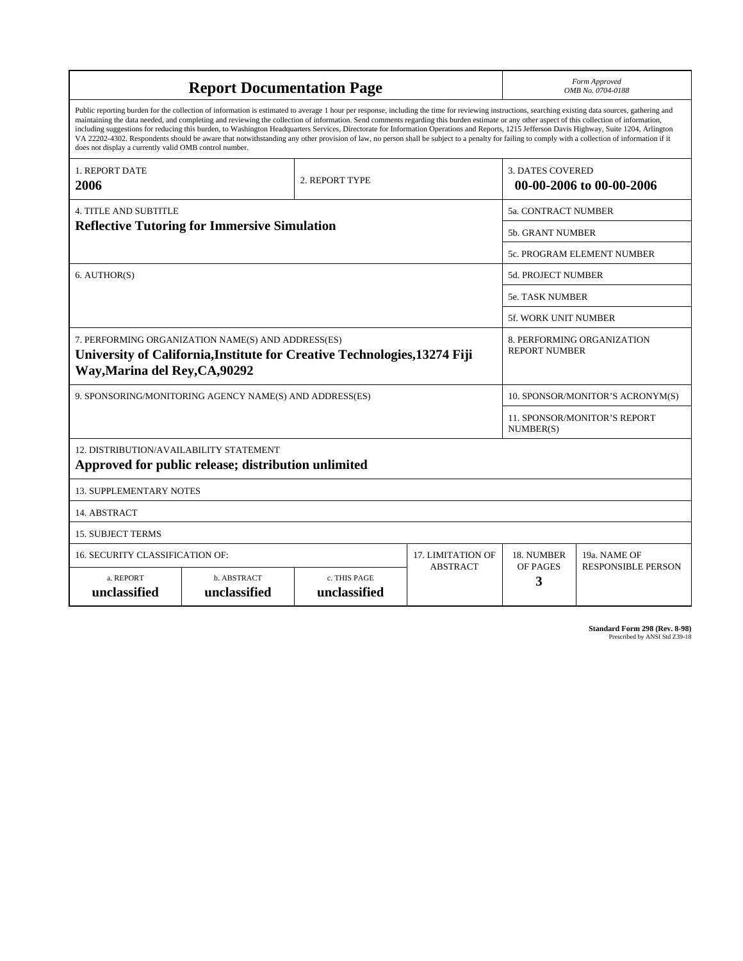| <b>Report Documentation Page</b>                                                                                                                                                                                                                                                                                                                                                                                                                                                                                                                                                                                                                                                                                                                                                                                                                                   |                             |                              |                 |                                                     | Form Approved<br>OMB No. 0704-0188               |  |
|--------------------------------------------------------------------------------------------------------------------------------------------------------------------------------------------------------------------------------------------------------------------------------------------------------------------------------------------------------------------------------------------------------------------------------------------------------------------------------------------------------------------------------------------------------------------------------------------------------------------------------------------------------------------------------------------------------------------------------------------------------------------------------------------------------------------------------------------------------------------|-----------------------------|------------------------------|-----------------|-----------------------------------------------------|--------------------------------------------------|--|
| Public reporting burden for the collection of information is estimated to average 1 hour per response, including the time for reviewing instructions, searching existing data sources, gathering and<br>maintaining the data needed, and completing and reviewing the collection of information. Send comments regarding this burden estimate or any other aspect of this collection of information,<br>including suggestions for reducing this burden, to Washington Headquarters Services, Directorate for Information Operations and Reports, 1215 Jefferson Davis Highway, Suite 1204, Arlington<br>VA 22202-4302. Respondents should be aware that notwithstanding any other provision of law, no person shall be subject to a penalty for failing to comply with a collection of information if it<br>does not display a currently valid OMB control number. |                             |                              |                 |                                                     |                                                  |  |
| 1. REPORT DATE<br>2006                                                                                                                                                                                                                                                                                                                                                                                                                                                                                                                                                                                                                                                                                                                                                                                                                                             |                             | 2. REPORT TYPE               |                 | <b>3. DATES COVERED</b><br>00-00-2006 to 00-00-2006 |                                                  |  |
| <b>4. TITLE AND SUBTITLE</b>                                                                                                                                                                                                                                                                                                                                                                                                                                                                                                                                                                                                                                                                                                                                                                                                                                       |                             |                              |                 |                                                     | <b>5a. CONTRACT NUMBER</b>                       |  |
| <b>Reflective Tutoring for Immersive Simulation</b>                                                                                                                                                                                                                                                                                                                                                                                                                                                                                                                                                                                                                                                                                                                                                                                                                |                             |                              |                 |                                                     | <b>5b. GRANT NUMBER</b>                          |  |
|                                                                                                                                                                                                                                                                                                                                                                                                                                                                                                                                                                                                                                                                                                                                                                                                                                                                    |                             |                              |                 | 5c. PROGRAM ELEMENT NUMBER                          |                                                  |  |
| 6. AUTHOR(S)                                                                                                                                                                                                                                                                                                                                                                                                                                                                                                                                                                                                                                                                                                                                                                                                                                                       |                             |                              |                 | 5d. PROJECT NUMBER                                  |                                                  |  |
|                                                                                                                                                                                                                                                                                                                                                                                                                                                                                                                                                                                                                                                                                                                                                                                                                                                                    |                             |                              |                 |                                                     | <b>5e. TASK NUMBER</b>                           |  |
|                                                                                                                                                                                                                                                                                                                                                                                                                                                                                                                                                                                                                                                                                                                                                                                                                                                                    |                             | 5f. WORK UNIT NUMBER         |                 |                                                     |                                                  |  |
| 7. PERFORMING ORGANIZATION NAME(S) AND ADDRESS(ES)<br>8. PERFORMING ORGANIZATION<br><b>REPORT NUMBER</b><br>University of California, Institute for Creative Technologies, 13274 Fiji<br>Way, Marina del Rey, CA, 90292                                                                                                                                                                                                                                                                                                                                                                                                                                                                                                                                                                                                                                            |                             |                              |                 |                                                     |                                                  |  |
| 9. SPONSORING/MONITORING AGENCY NAME(S) AND ADDRESS(ES)                                                                                                                                                                                                                                                                                                                                                                                                                                                                                                                                                                                                                                                                                                                                                                                                            |                             |                              |                 | 10. SPONSOR/MONITOR'S ACRONYM(S)                    |                                                  |  |
|                                                                                                                                                                                                                                                                                                                                                                                                                                                                                                                                                                                                                                                                                                                                                                                                                                                                    |                             |                              |                 |                                                     | <b>11. SPONSOR/MONITOR'S REPORT</b><br>NUMBER(S) |  |
| 12. DISTRIBUTION/AVAILABILITY STATEMENT<br>Approved for public release; distribution unlimited                                                                                                                                                                                                                                                                                                                                                                                                                                                                                                                                                                                                                                                                                                                                                                     |                             |                              |                 |                                                     |                                                  |  |
| <b>13. SUPPLEMENTARY NOTES</b>                                                                                                                                                                                                                                                                                                                                                                                                                                                                                                                                                                                                                                                                                                                                                                                                                                     |                             |                              |                 |                                                     |                                                  |  |
| 14. ABSTRACT                                                                                                                                                                                                                                                                                                                                                                                                                                                                                                                                                                                                                                                                                                                                                                                                                                                       |                             |                              |                 |                                                     |                                                  |  |
| <b>15. SUBJECT TERMS</b>                                                                                                                                                                                                                                                                                                                                                                                                                                                                                                                                                                                                                                                                                                                                                                                                                                           |                             |                              |                 |                                                     |                                                  |  |
| 16. SECURITY CLASSIFICATION OF:                                                                                                                                                                                                                                                                                                                                                                                                                                                                                                                                                                                                                                                                                                                                                                                                                                    |                             | <b>17. LIMITATION OF</b>     | 18. NUMBER      | 19a. NAME OF                                        |                                                  |  |
| a. REPORT<br>unclassified                                                                                                                                                                                                                                                                                                                                                                                                                                                                                                                                                                                                                                                                                                                                                                                                                                          | b. ABSTRACT<br>unclassified | c. THIS PAGE<br>unclassified | <b>ABSTRACT</b> | OF PAGES<br>3                                       | <b>RESPONSIBLE PERSON</b>                        |  |

**Standard Form 298 (Rev. 8-98)**<br>Prescribed by ANSI Std Z39-18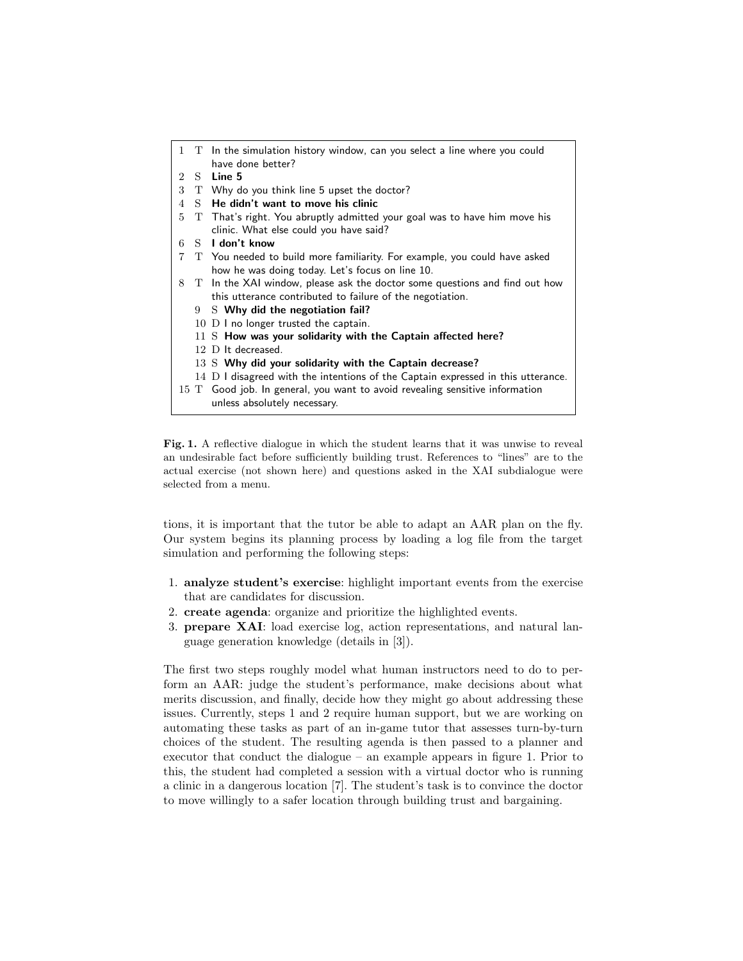|   |   | 1 T In the simulation history window, can you select a line where you could      |
|---|---|----------------------------------------------------------------------------------|
|   |   | have done better?                                                                |
|   |   | 2 S Line 5                                                                       |
|   |   | 3 T Why do you think line 5 upset the doctor?                                    |
|   |   | 4 S He didn't want to move his clinic                                            |
|   |   | 5 T That's right. You abruptly admitted your goal was to have him move his       |
|   |   | clinic. What else could you have said?                                           |
|   |   | 6 S I don't know                                                                 |
| 7 |   | T You needed to build more familiarity. For example, you could have asked        |
|   |   | how he was doing today. Let's focus on line 10.                                  |
|   |   | 8 T In the XAI window, please ask the doctor some questions and find out how     |
|   |   | this utterance contributed to failure of the negotiation.                        |
|   | 9 | S Why did the negotiation fail?                                                  |
|   |   | 10 $\,$ D I no longer trusted the captain.                                       |
|   |   | 11 S How was your solidarity with the Captain affected here?                     |
|   |   | 12 D It decreased.                                                               |
|   |   | $13\,$ S Why did your solidarity with the Captain decrease?                      |
|   |   | 14 D I disagreed with the intentions of the Captain expressed in this utterance. |
|   |   | 15 T Good job. In general, you want to avoid revealing sensitive information     |
|   |   | unless absolutely necessary.                                                     |
|   |   |                                                                                  |

Fig. 1. A reflective dialogue in which the student learns that it was unwise to reveal an undesirable fact before sufficiently building trust. References to "lines" are to the actual exercise (not shown here) and questions asked in the XAI subdialogue were selected from a menu.

tions, it is important that the tutor be able to adapt an AAR plan on the fly. Our system begins its planning process by loading a log file from the target simulation and performing the following steps:

- 1. analyze student's exercise: highlight important events from the exercise that are candidates for discussion.
- 2. create agenda: organize and prioritize the highlighted events.
- 3. prepare XAI: load exercise log, action representations, and natural language generation knowledge (details in [3]).

The first two steps roughly model what human instructors need to do to perform an AAR: judge the student's performance, make decisions about what merits discussion, and finally, decide how they might go about addressing these issues. Currently, steps 1 and 2 require human support, but we are working on automating these tasks as part of an in-game tutor that assesses turn-by-turn choices of the student. The resulting agenda is then passed to a planner and executor that conduct the dialogue – an example appears in figure 1. Prior to this, the student had completed a session with a virtual doctor who is running a clinic in a dangerous location [7]. The student's task is to convince the doctor to move willingly to a safer location through building trust and bargaining.